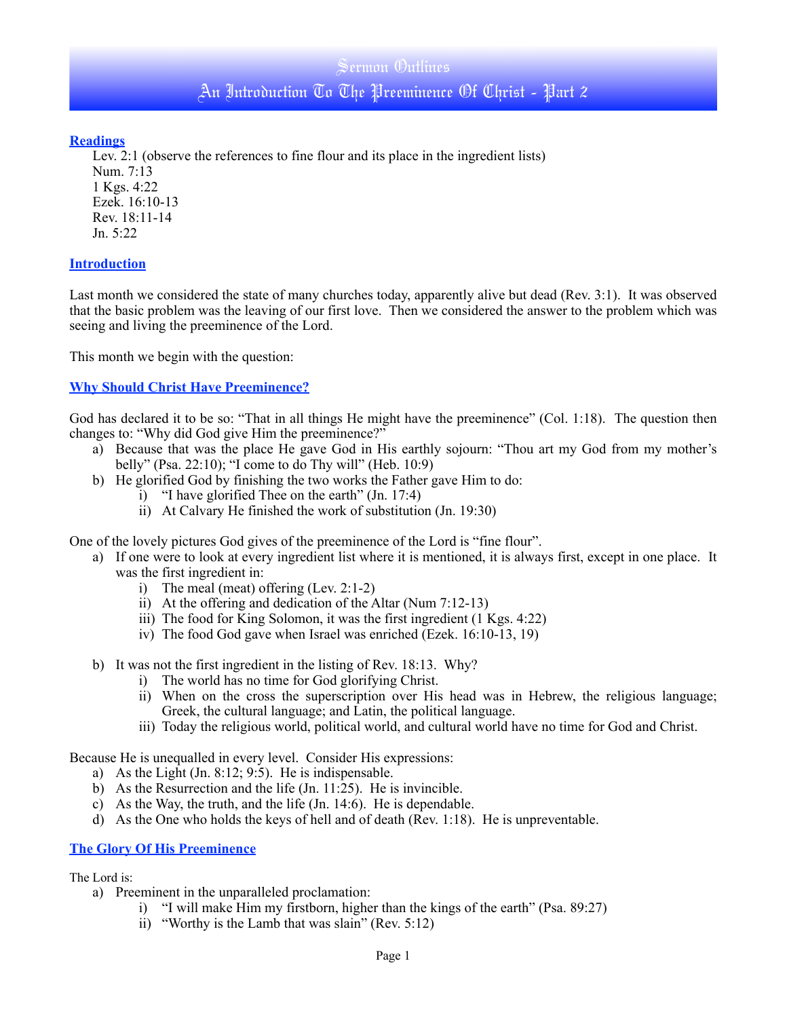## Sermon Outlines

An Introduction To The Preeminence Of Christ - Part 2

## **Readings**

Lev. 2:1 (observe the references to fine flour and its place in the ingredient lists)

Num. 7:13 1 Kgs. 4:22 Ezek. 16:10-13 Rev. 18:11-14 Jn. 5:22

## **Introduction**

Last month we considered the state of many churches today, apparently alive but dead (Rev. 3:1). It was observed that the basic problem was the leaving of our first love. Then we considered the answer to the problem which was seeing and living the preeminence of the Lord.

This month we begin with the question:

# **Why Should Christ Have Preeminence?**

God has declared it to be so: "That in all things He might have the preeminence" (Col. 1:18). The question then changes to: "Why did God give Him the preeminence?"

- a) Because that was the place He gave God in His earthly sojourn: "Thou art my God from my mother's belly" (Psa. 22:10); "I come to do Thy will" (Heb. 10:9)
- b) He glorified God by finishing the two works the Father gave Him to do:
	- i) "I have glorified Thee on the earth" (Jn. 17:4)
	- ii) At Calvary He finished the work of substitution (Jn. 19:30)

One of the lovely pictures God gives of the preeminence of the Lord is "fine flour".

- a) If one were to look at every ingredient list where it is mentioned, it is always first, except in one place. It was the first ingredient in:
	- i) The meal (meat) offering (Lev. 2:1-2)
	- ii) At the offering and dedication of the Altar (Num 7:12-13)
	- iii) The food for King Solomon, it was the first ingredient (1 Kgs. 4:22)
	- iv) The food God gave when Israel was enriched (Ezek. 16:10-13, 19)
- b) It was not the first ingredient in the listing of Rev. 18:13. Why?
	- i) The world has no time for God glorifying Christ.
	- ii) When on the cross the superscription over His head was in Hebrew, the religious language; Greek, the cultural language; and Latin, the political language.
	- iii) Today the religious world, political world, and cultural world have no time for God and Christ.

Because He is unequalled in every level. Consider His expressions:

- a) As the Light (Jn. 8:12; 9:5). He is indispensable.
- b) As the Resurrection and the life (Jn. 11:25). He is invincible.
- c) As the Way, the truth, and the life (Jn. 14:6). He is dependable.
- d) As the One who holds the keys of hell and of death (Rev. 1:18). He is unpreventable.

#### **The Glory Of His Preeminence**

The Lord is:

- a) Preeminent in the unparalleled proclamation:
	- i) "I will make Him my firstborn, higher than the kings of the earth" (Psa. 89:27)
	- ii) "Worthy is the Lamb that was slain" (Rev. 5:12)